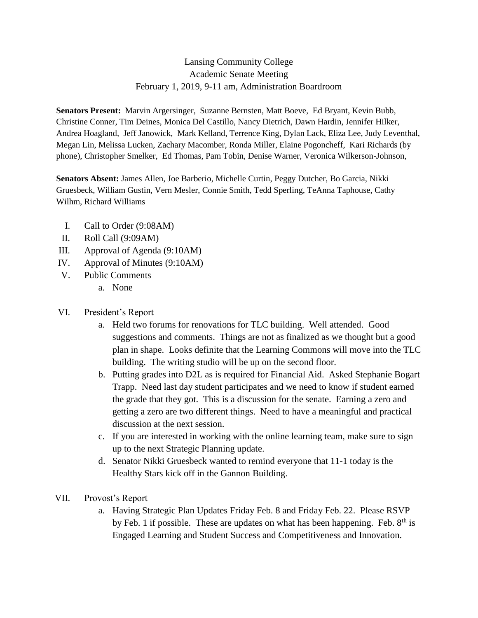# Lansing Community College Academic Senate Meeting February 1, 2019, 9-11 am, Administration Boardroom

**Senators Present:** Marvin Argersinger, Suzanne Bernsten, Matt Boeve, Ed Bryant, Kevin Bubb, Christine Conner, Tim Deines, Monica Del Castillo, Nancy Dietrich, Dawn Hardin, Jennifer Hilker, Andrea Hoagland, Jeff Janowick, Mark Kelland, Terrence King, Dylan Lack, Eliza Lee, Judy Leventhal, Megan Lin, Melissa Lucken, Zachary Macomber, Ronda Miller, Elaine Pogoncheff, Kari Richards (by phone), Christopher Smelker, Ed Thomas, Pam Tobin, Denise Warner, Veronica Wilkerson-Johnson,

**Senators Absent:** James Allen, Joe Barberio, Michelle Curtin, Peggy Dutcher, Bo Garcia, Nikki Gruesbeck, William Gustin, Vern Mesler, Connie Smith, Tedd Sperling, TeAnna Taphouse, Cathy Wilhm, Richard Williams

- I. Call to Order (9:08AM)
- II. Roll Call (9:09AM)
- III. Approval of Agenda (9:10AM)
- IV. Approval of Minutes (9:10AM)
- V. Public Comments
	- a. None
- VI. President's Report
	- a. Held two forums for renovations for TLC building. Well attended. Good suggestions and comments. Things are not as finalized as we thought but a good plan in shape. Looks definite that the Learning Commons will move into the TLC building. The writing studio will be up on the second floor.
	- b. Putting grades into D2L as is required for Financial Aid. Asked Stephanie Bogart Trapp. Need last day student participates and we need to know if student earned the grade that they got. This is a discussion for the senate. Earning a zero and getting a zero are two different things. Need to have a meaningful and practical discussion at the next session.
	- c. If you are interested in working with the online learning team, make sure to sign up to the next Strategic Planning update.
	- d. Senator Nikki Gruesbeck wanted to remind everyone that 11-1 today is the Healthy Stars kick off in the Gannon Building.
- VII. Provost's Report
	- a. Having Strategic Plan Updates Friday Feb. 8 and Friday Feb. 22. Please RSVP by Feb. 1 if possible. These are updates on what has been happening. Feb.  $8<sup>th</sup>$  is Engaged Learning and Student Success and Competitiveness and Innovation.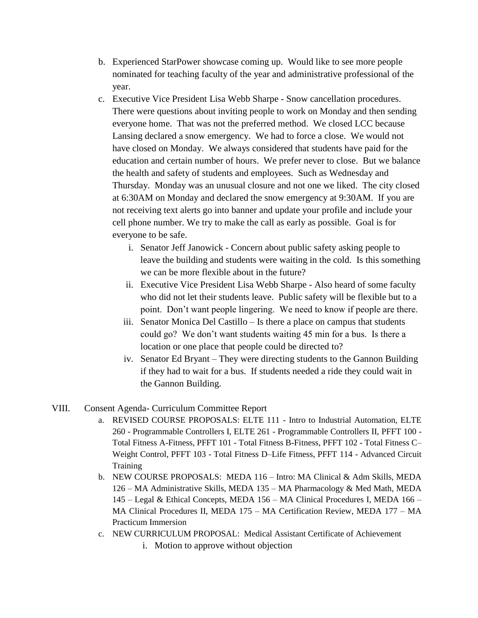- b. Experienced StarPower showcase coming up. Would like to see more people nominated for teaching faculty of the year and administrative professional of the year.
- c. Executive Vice President Lisa Webb Sharpe Snow cancellation procedures. There were questions about inviting people to work on Monday and then sending everyone home. That was not the preferred method. We closed LCC because Lansing declared a snow emergency. We had to force a close. We would not have closed on Monday. We always considered that students have paid for the education and certain number of hours. We prefer never to close. But we balance the health and safety of students and employees. Such as Wednesday and Thursday. Monday was an unusual closure and not one we liked. The city closed at 6:30AM on Monday and declared the snow emergency at 9:30AM. If you are not receiving text alerts go into banner and update your profile and include your cell phone number. We try to make the call as early as possible. Goal is for everyone to be safe.
	- i. Senator Jeff Janowick Concern about public safety asking people to leave the building and students were waiting in the cold. Is this something we can be more flexible about in the future?
	- ii. Executive Vice President Lisa Webb Sharpe Also heard of some faculty who did not let their students leave. Public safety will be flexible but to a point. Don't want people lingering. We need to know if people are there.
	- iii. Senator Monica Del Castillo Is there a place on campus that students could go? We don't want students waiting 45 min for a bus. Is there a location or one place that people could be directed to?
	- iv. Senator Ed Bryant They were directing students to the Gannon Building if they had to wait for a bus. If students needed a ride they could wait in the Gannon Building.

## VIII. Consent Agenda- Curriculum Committee Report

- a. REVISED COURSE PROPOSALS: ELTE 111 Intro to Industrial Automation, ELTE 260 - Programmable Controllers I, ELTE 261 - Programmable Controllers II, PFFT 100 - Total Fitness A-Fitness, PFFT 101 - Total Fitness B-Fitness, PFFT 102 - Total Fitness C– Weight Control, PFFT 103 - Total Fitness D–Life Fitness, PFFT 114 - Advanced Circuit **Training**
- b. NEW COURSE PROPOSALS: MEDA 116 Intro: MA Clinical & Adm Skills, MEDA 126 – MA Administrative Skills, MEDA 135 – MA Pharmacology & Med Math, MEDA 145 – Legal & Ethical Concepts, MEDA 156 – MA Clinical Procedures I, MEDA 166 – MA Clinical Procedures II, MEDA 175 – MA Certification Review, MEDA 177 – MA Practicum Immersion
- c. NEW CURRICULUM PROPOSAL: Medical Assistant Certificate of Achievement
	- i. Motion to approve without objection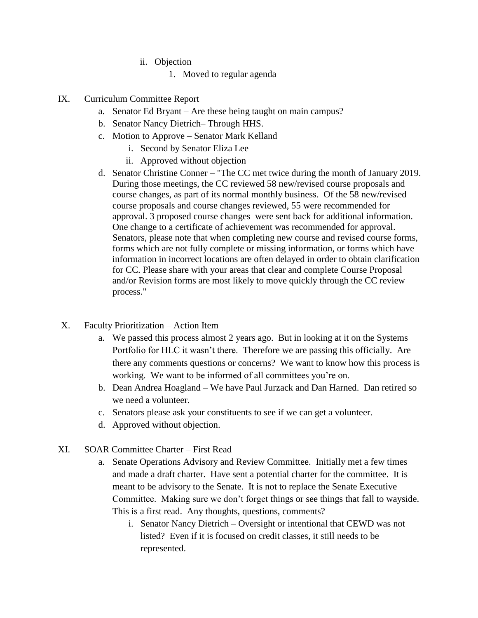- ii. Objection
	- 1. Moved to regular agenda
- IX. Curriculum Committee Report
	- a. Senator Ed Bryant Are these being taught on main campus?
	- b. Senator Nancy Dietrich– Through HHS.
	- c. Motion to Approve Senator Mark Kelland
		- i. Second by Senator Eliza Lee
		- ii. Approved without objection
	- d. Senator Christine Conner "The CC met twice during the month of January 2019. During those meetings, the CC reviewed 58 new/revised course proposals and course changes, as part of its normal monthly business. Of the 58 new/revised course proposals and course changes reviewed, 55 were recommended for approval. 3 proposed course changes were sent back for additional information. One change to a certificate of achievement was recommended for approval. Senators, please note that when completing new course and revised course forms, forms which are not fully complete or missing information, or forms which have information in incorrect locations are often delayed in order to obtain clarification for CC. Please share with your areas that clear and complete Course Proposal and/or Revision forms are most likely to move quickly through the CC review process."
- X. Faculty Prioritization Action Item
	- a. We passed this process almost 2 years ago. But in looking at it on the Systems Portfolio for HLC it wasn't there. Therefore we are passing this officially. Are there any comments questions or concerns? We want to know how this process is working. We want to be informed of all committees you're on.
	- b. Dean Andrea Hoagland We have Paul Jurzack and Dan Harned. Dan retired so we need a volunteer.
	- c. Senators please ask your constituents to see if we can get a volunteer.
	- d. Approved without objection.
- XI. SOAR Committee Charter First Read
	- a. Senate Operations Advisory and Review Committee. Initially met a few times and made a draft charter. Have sent a potential charter for the committee. It is meant to be advisory to the Senate. It is not to replace the Senate Executive Committee. Making sure we don't forget things or see things that fall to wayside. This is a first read. Any thoughts, questions, comments?
		- i. Senator Nancy Dietrich Oversight or intentional that CEWD was not listed? Even if it is focused on credit classes, it still needs to be represented.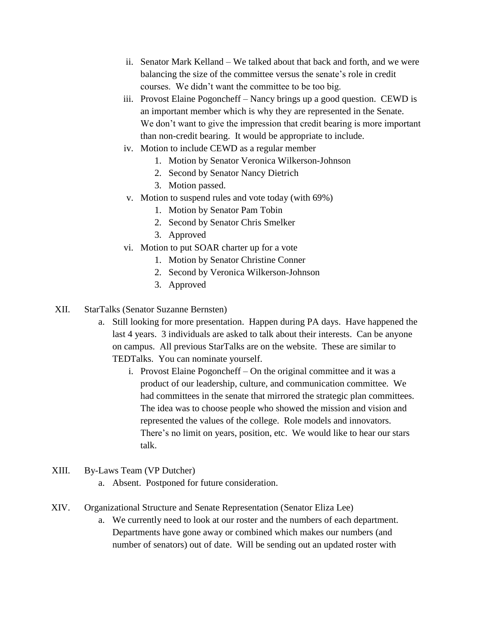- ii. Senator Mark Kelland We talked about that back and forth, and we were balancing the size of the committee versus the senate's role in credit courses. We didn't want the committee to be too big.
- iii. Provost Elaine Pogoncheff Nancy brings up a good question. CEWD is an important member which is why they are represented in the Senate. We don't want to give the impression that credit bearing is more important than non-credit bearing. It would be appropriate to include.
- iv. Motion to include CEWD as a regular member
	- 1. Motion by Senator Veronica Wilkerson-Johnson
	- 2. Second by Senator Nancy Dietrich
	- 3. Motion passed.
- v. Motion to suspend rules and vote today (with 69%)
	- 1. Motion by Senator Pam Tobin
	- 2. Second by Senator Chris Smelker
	- 3. Approved
- vi. Motion to put SOAR charter up for a vote
	- 1. Motion by Senator Christine Conner
	- 2. Second by Veronica Wilkerson-Johnson
	- 3. Approved
- XII. StarTalks (Senator Suzanne Bernsten)
	- a. Still looking for more presentation. Happen during PA days. Have happened the last 4 years. 3 individuals are asked to talk about their interests. Can be anyone on campus. All previous StarTalks are on the website. These are similar to TEDTalks. You can nominate yourself.
		- i. Provost Elaine Pogoncheff On the original committee and it was a product of our leadership, culture, and communication committee. We had committees in the senate that mirrored the strategic plan committees. The idea was to choose people who showed the mission and vision and represented the values of the college. Role models and innovators. There's no limit on years, position, etc. We would like to hear our stars talk.
- XIII. By-Laws Team (VP Dutcher)
	- a. Absent. Postponed for future consideration.
- XIV. Organizational Structure and Senate Representation (Senator Eliza Lee)
	- a. We currently need to look at our roster and the numbers of each department. Departments have gone away or combined which makes our numbers (and number of senators) out of date. Will be sending out an updated roster with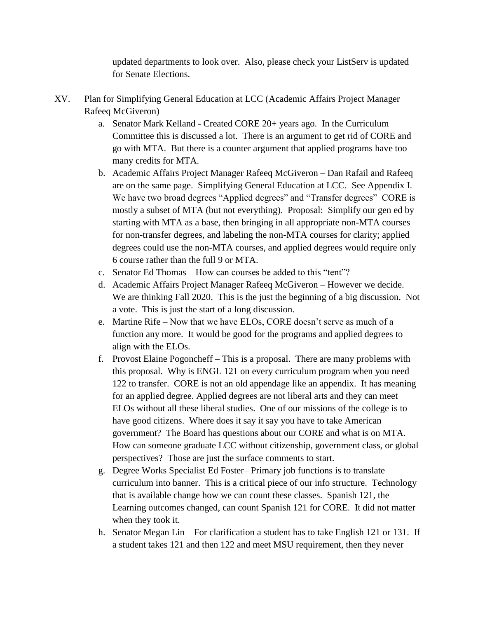updated departments to look over. Also, please check your ListServ is updated for Senate Elections.

- XV. Plan for Simplifying General Education at LCC (Academic Affairs Project Manager Rafeeq McGiveron)
	- a. Senator Mark Kelland Created CORE 20+ years ago. In the Curriculum Committee this is discussed a lot. There is an argument to get rid of CORE and go with MTA. But there is a counter argument that applied programs have too many credits for MTA.
	- b. Academic Affairs Project Manager Rafeeq McGiveron Dan Rafail and Rafeeq are on the same page. Simplifying General Education at LCC. See Appendix I. We have two broad degrees "Applied degrees" and "Transfer degrees" CORE is mostly a subset of MTA (but not everything). Proposal: Simplify our gen ed by starting with MTA as a base, then bringing in all appropriate non-MTA courses for non-transfer degrees, and labeling the non-MTA courses for clarity; applied degrees could use the non-MTA courses, and applied degrees would require only 6 course rather than the full 9 or MTA.
	- c. Senator Ed Thomas How can courses be added to this "tent"?
	- d. Academic Affairs Project Manager Rafeeq McGiveron However we decide. We are thinking Fall 2020. This is the just the beginning of a big discussion. Not a vote. This is just the start of a long discussion.
	- e. Martine Rife Now that we have ELOs, CORE doesn't serve as much of a function any more. It would be good for the programs and applied degrees to align with the ELOs.
	- f. Provost Elaine Pogoncheff This is a proposal. There are many problems with this proposal. Why is ENGL 121 on every curriculum program when you need 122 to transfer. CORE is not an old appendage like an appendix. It has meaning for an applied degree. Applied degrees are not liberal arts and they can meet ELOs without all these liberal studies. One of our missions of the college is to have good citizens. Where does it say it say you have to take American government? The Board has questions about our CORE and what is on MTA. How can someone graduate LCC without citizenship, government class, or global perspectives? Those are just the surface comments to start.
	- g. Degree Works Specialist Ed Foster– Primary job functions is to translate curriculum into banner. This is a critical piece of our info structure. Technology that is available change how we can count these classes. Spanish 121, the Learning outcomes changed, can count Spanish 121 for CORE. It did not matter when they took it.
	- h. Senator Megan Lin For clarification a student has to take English 121 or 131. If a student takes 121 and then 122 and meet MSU requirement, then they never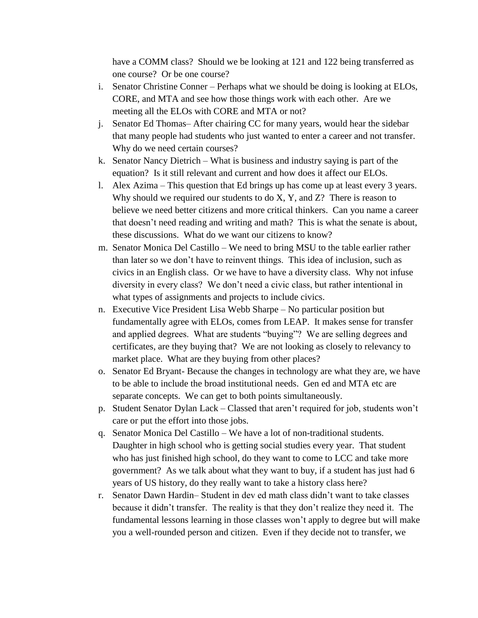have a COMM class? Should we be looking at 121 and 122 being transferred as one course? Or be one course?

- i. Senator Christine Conner Perhaps what we should be doing is looking at ELOs, CORE, and MTA and see how those things work with each other. Are we meeting all the ELOs with CORE and MTA or not?
- j. Senator Ed Thomas– After chairing CC for many years, would hear the sidebar that many people had students who just wanted to enter a career and not transfer. Why do we need certain courses?
- k. Senator Nancy Dietrich What is business and industry saying is part of the equation? Is it still relevant and current and how does it affect our ELOs.
- l. Alex Azima This question that Ed brings up has come up at least every 3 years. Why should we required our students to do  $X$ ,  $Y$ , and  $Z$ ? There is reason to believe we need better citizens and more critical thinkers. Can you name a career that doesn't need reading and writing and math? This is what the senate is about, these discussions. What do we want our citizens to know?
- m. Senator Monica Del Castillo We need to bring MSU to the table earlier rather than later so we don't have to reinvent things. This idea of inclusion, such as civics in an English class. Or we have to have a diversity class. Why not infuse diversity in every class? We don't need a civic class, but rather intentional in what types of assignments and projects to include civics.
- n. Executive Vice President Lisa Webb Sharpe No particular position but fundamentally agree with ELOs, comes from LEAP. It makes sense for transfer and applied degrees. What are students "buying"? We are selling degrees and certificates, are they buying that? We are not looking as closely to relevancy to market place. What are they buying from other places?
- o. Senator Ed Bryant- Because the changes in technology are what they are, we have to be able to include the broad institutional needs. Gen ed and MTA etc are separate concepts. We can get to both points simultaneously.
- p. Student Senator Dylan Lack Classed that aren't required for job, students won't care or put the effort into those jobs.
- q. Senator Monica Del Castillo We have a lot of non-traditional students. Daughter in high school who is getting social studies every year. That student who has just finished high school, do they want to come to LCC and take more government? As we talk about what they want to buy, if a student has just had 6 years of US history, do they really want to take a history class here?
- r. Senator Dawn Hardin– Student in dev ed math class didn't want to take classes because it didn't transfer. The reality is that they don't realize they need it. The fundamental lessons learning in those classes won't apply to degree but will make you a well-rounded person and citizen. Even if they decide not to transfer, we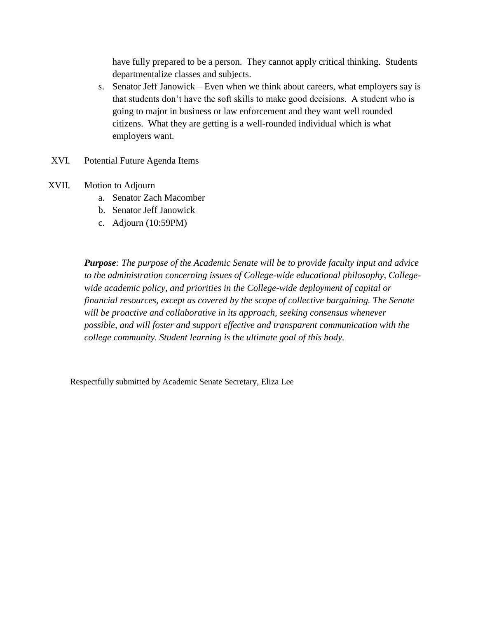have fully prepared to be a person. They cannot apply critical thinking. Students departmentalize classes and subjects.

- s. Senator Jeff Janowick Even when we think about careers, what employers say is that students don't have the soft skills to make good decisions. A student who is going to major in business or law enforcement and they want well rounded citizens. What they are getting is a well-rounded individual which is what employers want.
- XVI. Potential Future Agenda Items
- XVII. Motion to Adjourn
	- a. Senator Zach Macomber
	- b. Senator Jeff Janowick
	- c. Adjourn (10:59PM)

*Purpose: The purpose of the Academic Senate will be to provide faculty input and advice to the administration concerning issues of College-wide educational philosophy, Collegewide academic policy, and priorities in the College-wide deployment of capital or financial resources, except as covered by the scope of collective bargaining. The Senate will be proactive and collaborative in its approach, seeking consensus whenever possible, and will foster and support effective and transparent communication with the college community. Student learning is the ultimate goal of this body.*

Respectfully submitted by Academic Senate Secretary, Eliza Lee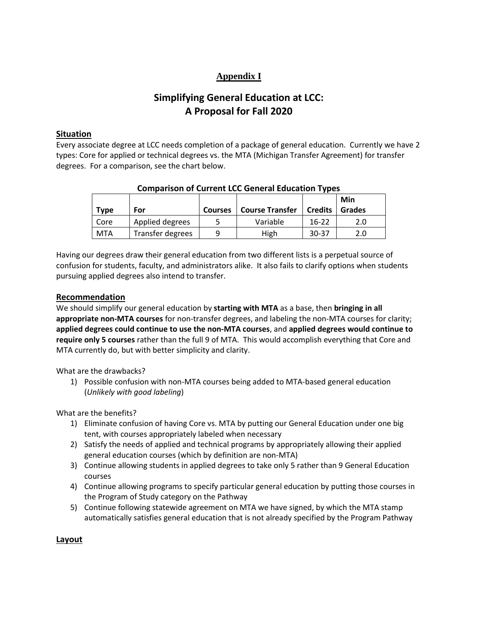# **Appendix I**

# **Simplifying General Education at LCC: A Proposal for Fall 2020**

### **Situation**

Every associate degree at LCC needs completion of a package of general education. Currently we have 2 types: Core for applied or technical degrees vs. the MTA (Michigan Transfer Agreement) for transfer degrees. For a comparison, see the chart below.

| <b>Type</b> | For              | <b>Courses</b> | <b>Course Transfer</b> | <b>Credits</b> | Min<br>Grades |
|-------------|------------------|----------------|------------------------|----------------|---------------|
| Core        | Applied degrees  |                | Variable               | $16-22$        | 2.0           |
| <b>MTA</b>  | Transfer degrees | a              | High                   | $30 - 37$      | 2.0           |

## **Comparison of Current LCC General Education Types**

Having our degrees draw their general education from two different lists is a perpetual source of confusion for students, faculty, and administrators alike. It also fails to clarify options when students pursuing applied degrees also intend to transfer.

## **Recommendation**

We should simplify our general education by **starting with MTA** as a base, then **bringing in all appropriate non-MTA courses** for non-transfer degrees, and labeling the non-MTA courses for clarity; **applied degrees could continue to use the non-MTA courses**, and **applied degrees would continue to require only 5 courses** rather than the full 9 of MTA. This would accomplish everything that Core and MTA currently do, but with better simplicity and clarity.

What are the drawbacks?

1) Possible confusion with non-MTA courses being added to MTA-based general education (*Unlikely with good labeling*)

What are the benefits?

- 1) Eliminate confusion of having Core vs. MTA by putting our General Education under one big tent, with courses appropriately labeled when necessary
- 2) Satisfy the needs of applied and technical programs by appropriately allowing their applied general education courses (which by definition are non-MTA)
- 3) Continue allowing students in applied degrees to take only 5 rather than 9 General Education courses
- 4) Continue allowing programs to specify particular general education by putting those courses in the Program of Study category on the Pathway
- 5) Continue following statewide agreement on MTA we have signed, by which the MTA stamp automatically satisfies general education that is not already specified by the Program Pathway

**Layout**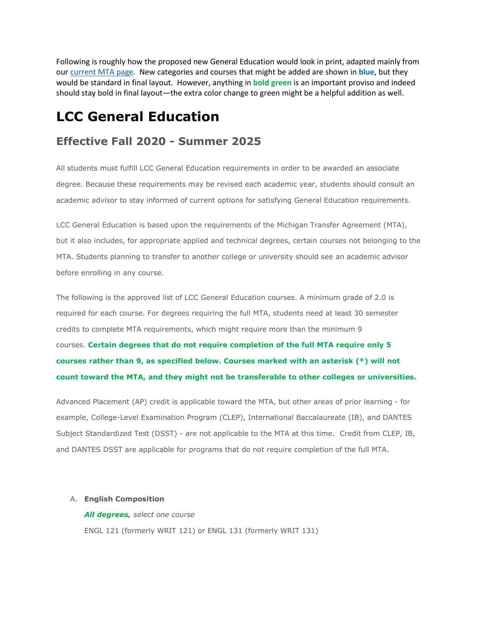Following is roughly how the proposed new General Education would look in print, adapted mainly from our [current MTA page.](https://internal.lcc.edu/transfer/mta-2018-19.aspx) New categories and courses that might be added are shown in **blue**, but they would be standard in final layout. However, anything in **bold green** is an important proviso and indeed should stay bold in final layout—the extra color change to green might be a helpful addition as well.

# **LCC General Education**

# **Effective Fall 2020 - Summer 2025**

All students must fulfill LCC General Education requirements in order to be awarded an associate degree. Because these requirements may be revised each academic year, students should consult an academic advisor to stay informed of current options for satisfying General Education requirements.

LCC General Education is based upon the requirements of the Michigan Transfer Agreement (MTA), but it also includes, for appropriate applied and technical degrees, certain courses not belonging to the MTA. Students planning to transfer to another college or university should see an academic advisor before enrolling in any course.

The following is the approved list of LCC General Education courses. A minimum grade of 2.0 is required for each course. For degrees requiring the full MTA, students need at least 30 semester credits to complete MTA requirements, which might require more than the minimum 9 courses. **Certain degrees that do not require completion of the full MTA require only 5 courses rather than 9, as specified below. Courses marked with an asterisk (\*) will not count toward the MTA, and they might not be transferable to other colleges or universities.**

Advanced Placement (AP) credit is applicable toward the MTA, but other areas of prior learning - for example, College-Level Examination Program (CLEP), International Baccalaureate (IB), and DANTES Subject Standardized Test (DSST) - are not applicable to the MTA at this time. Credit from CLEP, IB, and DANTES DSST are applicable for programs that do not require completion of the full MTA.

#### A. **English Composition**

*All degrees, select one course* ENGL 121 (formerly WRIT 121) or ENGL 131 (formerly WRIT 131)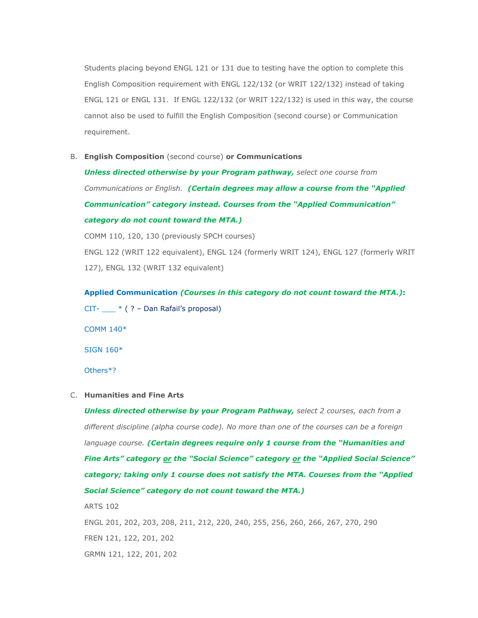Students placing beyond ENGL 121 or 131 due to testing have the option to complete this English Composition requirement with ENGL 122/132 (or WRIT 122/132) instead of taking ENGL 121 or ENGL 131. If ENGL 122/132 (or WRIT 122/132) is used in this way, the course cannot also be used to fulfill the English Composition (second course) or Communication requirement.

B. **English Composition** (second course) **or Communications**

*Unless directed otherwise by your Program pathway, select one course from Communications or English. (Certain degrees may allow a course from the "Applied Communication" category instead. Courses from the "Applied Communication" category do not count toward the MTA.)*

COMM 110, 120, 130 (previously SPCH courses) ENGL 122 (WRIT 122 equivalent), ENGL 124 (formerly WRIT 124), ENGL 127 (formerly WRIT 127), ENGL 132 (WRIT 132 equivalent)

**Applied Communication** *(Courses in this category do not count toward the MTA.)***:** CIT- \_\_\_ \* ( ? – Dan Rafail's proposal)

COMM 140\* SIGN 160\* Others\*?

#### C. **Humanities and Fine Arts**

*Unless directed otherwise by your Program Pathway, select 2 courses, each from a different discipline (alpha course code). No more than one of the courses can be a foreign language course. (Certain degrees require only 1 course from the "Humanities and Fine Arts" category or the "Social Science" category or the "Applied Social Science" category; taking only 1 course does not satisfy the MTA. Courses from the "Applied Social Science" category do not count toward the MTA.)*

ARTS 102

ENGL 201, 202, 203, 208, 211, 212, 220, 240, 255, 256, 260, 266, 267, 270, 290 FREN 121, 122, 201, 202 GRMN 121, 122, 201, 202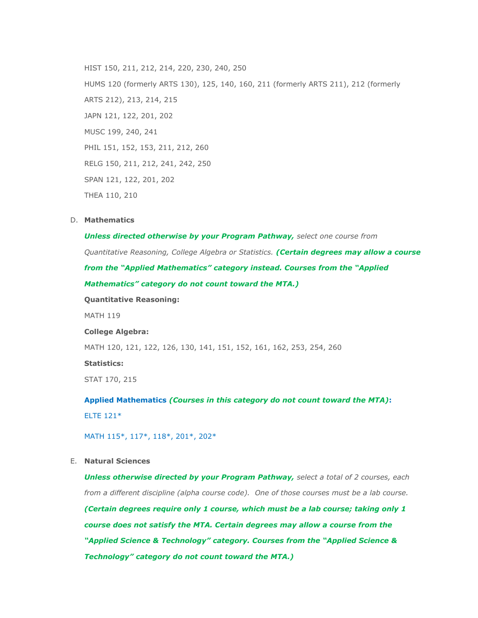HIST 150, 211, 212, 214, 220, 230, 240, 250 HUMS 120 (formerly ARTS 130), 125, 140, 160, 211 (formerly ARTS 211), 212 (formerly ARTS 212), 213, 214, 215 JAPN 121, 122, 201, 202 MUSC 199, 240, 241 PHIL 151, 152, 153, 211, 212, 260 RELG 150, 211, 212, 241, 242, 250 SPAN 121, 122, 201, 202 THEA 110, 210

#### D. **Mathematics**

*Unless directed otherwise by your Program Pathway, select one course from Quantitative Reasoning, College Algebra or Statistics. (Certain degrees may allow a course from the "Applied Mathematics" category instead. Courses from the "Applied Mathematics" category do not count toward the MTA.)*

**Quantitative Reasoning:**

MATH 119

#### **College Algebra:**

MATH 120, 121, 122, 126, 130, 141, 151, 152, 161, 162, 253, 254, 260

#### **Statistics:**

STAT 170, 215

**Applied Mathematics** *(Courses in this category do not count toward the MTA)***:** ELTE 121\*

#### MATH 115\*, 117\*, 118\*, 201\*, 202\*

#### E. **Natural Sciences**

*Unless otherwise directed by your Program Pathway, select a total of 2 courses, each from a different discipline (alpha course code). One of those courses must be a lab course. (Certain degrees require only 1 course, which must be a lab course; taking only 1 course does not satisfy the MTA. Certain degrees may allow a course from the "Applied Science & Technology" category. Courses from the "Applied Science & Technology" category do not count toward the MTA.)*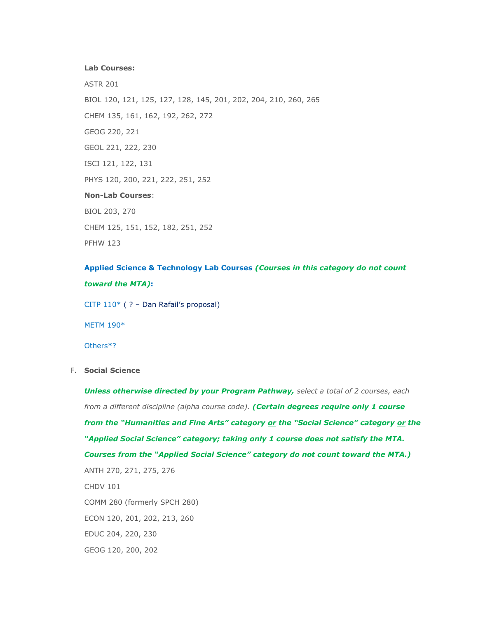#### **Lab Courses:**

ASTR 201 BIOL 120, 121, 125, 127, 128, 145, 201, 202, 204, 210, 260, 265 CHEM 135, 161, 162, 192, 262, 272 GEOG 220, 221 GEOL 221, 222, 230 ISCI 121, 122, 131 PHYS 120, 200, 221, 222, 251, 252 **Non-Lab Courses**: BIOL 203, 270 CHEM 125, 151, 152, 182, 251, 252

**Applied Science & Technology Lab Courses** *(Courses in this category do not count toward the MTA)***:**

CITP 110\* ( ? – Dan Rafail's proposal)

METM 190\*

PFHW 123

Others\*?

F. **Social Science**

*Unless otherwise directed by your Program Pathway, select a total of 2 courses, each from a different discipline (alpha course code). (Certain degrees require only 1 course from the "Humanities and Fine Arts" category or the "Social Science" category or the "Applied Social Science" category; taking only 1 course does not satisfy the MTA. Courses from the "Applied Social Science" category do not count toward the MTA.)* ANTH 270, 271, 275, 276 CHDV 101 COMM 280 (formerly SPCH 280) ECON 120, 201, 202, 213, 260 EDUC 204, 220, 230 GEOG 120, 200, 202